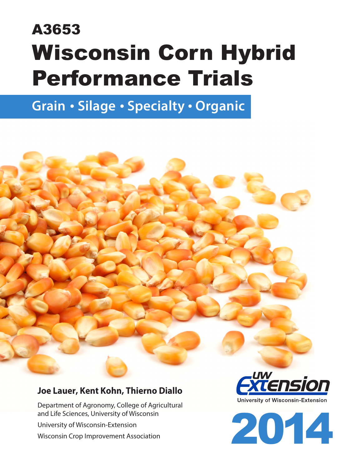# A3653 Wisconsin Corn Hybrid Performance Trials

**Grain • Silage • Specialty • Organic**

## **Joe Lauer, Kent Kohn, Thierno Diallo**

Department of Agronomy, College of Agricultural and Life Sciences, University of Wisconsin University of Wisconsin-Extension Wisconsin Crop Improvement Association



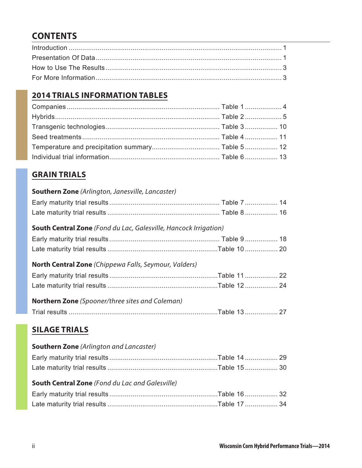# **CONTENTS**

## **[2014 TRIALS INFORMATION TABLES](#page--1-0)**

## **[GRAIN TRIALS](#page--1-0)**

| <b>Southern Zone</b> (Arlington, Janesville, Lancaster)                 |  |
|-------------------------------------------------------------------------|--|
|                                                                         |  |
|                                                                         |  |
| <b>South Central Zone</b> (Fond du Lac, Galesville, Hancock Irrigation) |  |
|                                                                         |  |
|                                                                         |  |
| <b>North Central Zone</b> (Chippewa Falls, Seymour, Valders)            |  |
|                                                                         |  |
|                                                                         |  |
| <b>Northern Zone</b> (Spooner/three sites and Coleman)                  |  |
|                                                                         |  |
| <b>SILAGE TRIALS</b>                                                    |  |
| <b>Southern Zone</b> (Arlington and Lancaster)                          |  |

## **South Central Zone** *[\(Fond du Lac and Galesville\)](#page--1-0)*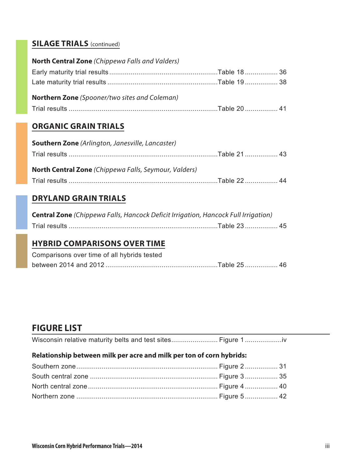## **[SILAGE TRIALS](#page--1-0)** (continued)

| <b>North Central Zone</b> (Chippewa Falls and Valders) |  |
|--------------------------------------------------------|--|
|                                                        |  |
|                                                        |  |
| <b>Northern Zone</b> (Spooner/two sites and Coleman)   |  |
|                                                        |  |

## **[ORGANIC GRAIN TRIALS](#page--1-0)**

| <b>Southern Zone</b> (Arlington, Janesville, Lancaster) |  |
|---------------------------------------------------------|--|
|                                                         |  |
| North Central Zone (Chippewa Falls, Seymour, Valders)   |  |
|                                                         |  |

## **[DRYLAND GRAIN TRIALS](#page--1-0)**

| <b>Central Zone</b> (Chippewa Falls, Hancock Deficit Irrigation, Hancock Full Irrigation) |  |
|-------------------------------------------------------------------------------------------|--|
|                                                                                           |  |

## **[HYBRID COMPARISONS OVER TIME](#page--1-0)**

| Comparisons over time of all hybrids tested |  |
|---------------------------------------------|--|
|                                             |  |

## **FIGURE LIST**

| Wisconsin relative maturity belts and test sites Figure 1 |  |  |
|-----------------------------------------------------------|--|--|
|-----------------------------------------------------------|--|--|

#### **[Relationship between milk per acre and milk per ton of corn hybrids:](#page--1-0)**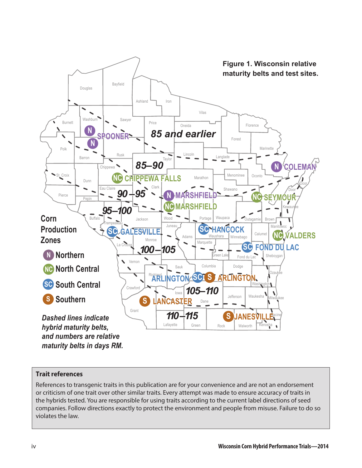<span id="page-3-0"></span>

#### **Trait references**

References to transgenic traits in this publication are for your convenience and are not an endorsement or criticism of one trait over other similar traits. Every attempt was made to ensure accuracy of traits in the hybrids tested. You are responsible for using traits according to the current label directions of seed companies. Follow directions exactly to protect the environment and people from misuse. Failure to do so violates the law.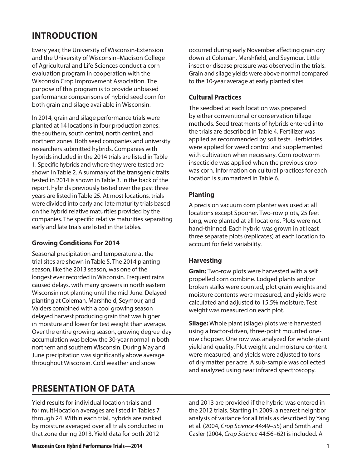# <span id="page-4-0"></span>**INTRODUCTION**

Every year, the University of Wisconsin-Extension and the University of Wisconsin–Madison College of Agricultural and Life Sciences conduct a corn evaluation program in cooperation with the Wisconsin Crop Improvement Association. The purpose of this program is to provide unbiased performance comparisons of hybrid seed corn for both grain and silage available in Wisconsin.

In 2014, grain and silage performance trials were planted at 14 locations in four production zones: the southern, south central, north central, and northern zones. Both seed companies and university researchers submitted hybrids. Companies with hybrids included in the 2014 trials are listed in Table 1. Specific hybrids and where they were tested are shown in Table 2. A summary of the transgenic traits tested in 2014 is shown in Table 3. In the back of the report, hybrids previously tested over the past three years are listed in Table 25. At most locations, trials were divided into early and late maturity trials based on the hybrid relative maturities provided by the companies. The specific relative maturities separating early and late trials are listed in the tables.

#### **Growing Conditions For 2014**

Seasonal precipitation and temperature at the trial sites are shown in Table 5. The 2014 planting season, like the 2013 season, was one of the longest ever recorded in Wisconsin. Frequent rains caused delays, with many growers in north eastern Wisconsin not planting until the mid-June. Delayed planting at Coleman, Marshfield, Seymour, and Valders combined with a cool growing season delayed harvest producing grain that was higher in moisture and lower for test weight than average. Over the entire growing season, growing degree-day accumulation was below the 30-year normal in both northern and southern Wisconsin. During May and June precipitation was significantly above average throughout Wisconsin. Cold weather and snow

# **PRESENTATION OF DATA**

Yield results for individual location trials and for multi-location averages are listed in Tables 7 through 24. Within each trial, hybrids are ranked by moisture averaged over all trials conducted in that zone during 2013. Yield data for both 2012

occurred during early November affecting grain dry down at Coleman, Marshfield, and Seymour. Little insect or disease pressure was observed in the trials. Grain and silage yields were above normal compared to the 10-year average at early planted sites.

#### **Cultural Practices**

The seedbed at each location was prepared by either conventional or conservation tillage methods. Seed treatments of hybrids entered into the trials are described in Table 4. Fertilizer was applied as recommended by soil tests. Herbicides were applied for weed control and supplemented with cultivation when necessary. Corn rootworm insecticide was applied when the previous crop was corn. Information on cultural practices for each location is summarized in Table 6.

#### **Planting**

A precision vacuum corn planter was used at all locations except Spooner. Two-row plots, 25 feet long, were planted at all locations. Plots were not hand-thinned. Each hybrid was grown in at least three separate plots (replicates) at each location to account for field variability.

#### **Harvesting**

**Grain:** Two-row plots were harvested with a self propelled corn combine. Lodged plants and/or broken stalks were counted, plot grain weights and moisture contents were measured, and yields were calculated and adjusted to 15.5% moisture. Test weight was measured on each plot.

**Silage:** Whole plant (silage) plots were harvested using a tractor-driven, three-point mounted onerow chopper. One row was analyzed for whole-plant yield and quality. Plot weight and moisture content were measured, and yields were adjusted to tons of dry matter per acre. A sub-sample was collected and analyzed using near infrared spectroscopy.

and 2013 are provided if the hybrid was entered in the 2012 trials. Starting in 2009, a nearest neighbor analysis of variance for all trials as described by Yang et al. (2004, *Crop Science* 44:49–55) and Smith and Casler (2004, *Crop Science* 44:56–62) is included. A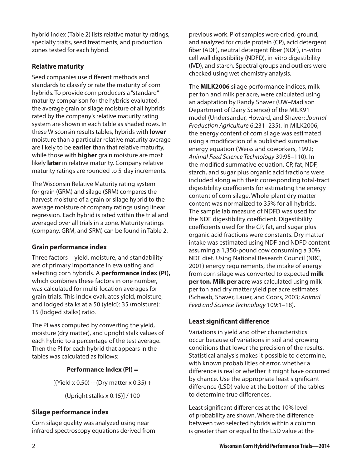hybrid index (Table 2) lists relative maturity ratings, specialty traits, seed treatments, and production zones tested for each hybrid.

#### **Relative maturity**

Seed companies use different methods and standards to classify or rate the maturity of corn hybrids. To provide corn producers a "standard" maturity comparison for the hybrids evaluated, the average grain or silage moisture of all hybrids rated by the company's relative maturity rating system are shown in each table as shaded rows. In these Wisconsin results tables, hybrids with **lower** moisture than a particular relative maturity average are likely to be **earlier** than that relative maturity, while those with **higher** grain moisture are most likely **later** in relative maturity. Company relative maturity ratings are rounded to 5-day increments.

The Wisconsin Relative Maturity rating system for grain (GRM) and silage (SRM) compares the harvest moisture of a grain or silage hybrid to the average moisture of company ratings using linear regression. Each hybrid is rated within the trial and averaged over all trials in a zone. Maturity ratings (company, GRM, and SRM) can be found in Table 2.

#### **Grain performance index**

Three factors—yield, moisture, and standability are of primary importance in evaluating and selecting corn hybrids. A **performance index (PI),**  which combines these factors in one number, was calculated for multi-location averages for grain trials. This index evaluates yield, moisture, and lodged stalks at a 50 (yield): 35 (moisture): 15 (lodged stalks) ratio.

The PI was computed by converting the yield, moisture (dry matter), and upright stalk values of each hybrid to a percentage of the test average. Then the PI for each hybrid that appears in the tables was calculated as follows:

#### **Performance Index (PI)** =

 $[(Yield × 0.50) + (Dry matter × 0.35) +$ 

(Upright stalks x 0.15)] / 100

#### **Silage performance index**

Corn silage quality was analyzed using near infrared spectroscopy equations derived from

previous work. Plot samples were dried, ground, and analyzed for crude protein (CP), acid detergent fiber (ADF), neutral detergent fiber (NDF), in-vitro cell wall digestibility (NDFD), in-vitro digestibility (IVD), and starch. Spectral groups and outliers were checked using wet chemistry analysis.

The **MILK2006** silage performance indices, milk per ton and milk per acre, were calculated using an adaptation by Randy Shaver (UW–Madison Department of Dairy Science) of the MILK91 model (Undersander, Howard, and Shaver; *Journal Production Agriculture* 6:231–235). In MILK2006, the energy content of corn silage was estimated using a modification of a published summative energy equation (Weiss and coworkers, 1992; *Animal Feed Science Technology* 39:95–110). In the modified summative equation, CP, fat, NDF, starch, and sugar plus organic acid fractions were included along with their corresponding total-tract digestibility coefficients for estimating the energy content of corn silage. Whole-plant dry matter content was normalized to 35% for all hybrids. The sample lab measure of NDFD was used for the NDF digestibility coefficient. Digestibility coefficients used for the CP, fat, and sugar plus organic acid fractions were constants. Dry matter intake was estimated using NDF and NDFD content assuming a 1,350-pound cow consuming a 30% NDF diet. Using National Research Council (NRC, 2001) energy requirements, the intake of energy from corn silage was converted to expected **milk per ton. Milk per acre** was calculated using milk per ton and dry matter yield per acre estimates (Schwab, Shaver, Lauer, and Coors, 2003; *Animal Feed and Science Technology* 109:1–18).

#### **Least significant difference**

Variations in yield and other characteristics occur because of variations in soil and growing conditions that lower the precision of the results. Statistical analysis makes it possible to determine, with known probabilities of error, whether a difference is real or whether it might have occurred by chance. Use the appropriate least significant difference (LSD) value at the bottom of the tables to determine true differences.

Least significant differences at the 10% level of probability are shown. Where the difference between two selected hybrids within a column is greater than or equal to the LSD value at the